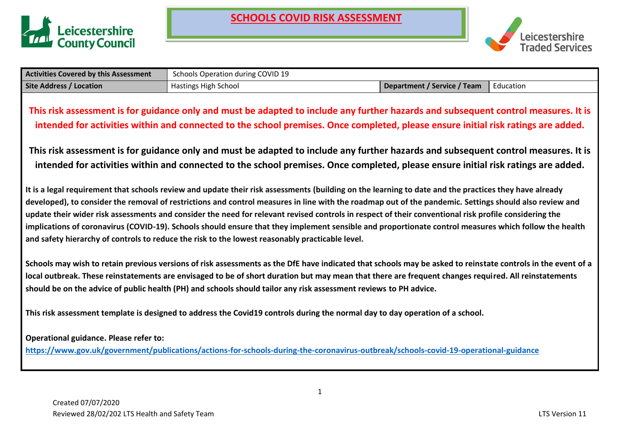



| <b>Activities Covered by this Assessment</b> | Schools Operation during COVID 19                                                                                                                                                                                                                                                                                                                                                                                                                                                                                                                      |                                    |           |
|----------------------------------------------|--------------------------------------------------------------------------------------------------------------------------------------------------------------------------------------------------------------------------------------------------------------------------------------------------------------------------------------------------------------------------------------------------------------------------------------------------------------------------------------------------------------------------------------------------------|------------------------------------|-----------|
| <b>Site Address / Location</b>               | Hastings High School                                                                                                                                                                                                                                                                                                                                                                                                                                                                                                                                   | <b>Department / Service / Team</b> | Education |
|                                              | This risk assessment is for guidance only and must be adapted to include any further hazards and subsequent control measures. It is<br>intended for activities within and connected to the school premises. Once completed, please ensure initial risk ratings are added.<br>This risk assessment is for guidance only and must be adapted to include any further hazards and subsequent control measures. It is<br>intended for activities within and connected to the school premises. Once completed, please ensure initial risk ratings are added. |                                    |           |
|                                              | It is a legal requirement that schools review and update their risk assessments (building on the learning to date and the practices they have already<br>developed), to consider the removal of restrictions and control measures in line with the roadmap out of the pandemic. Settings should also review and<br>update their wider risk assessments and consider the need for relevant revised controls in respect of their conventional risk profile considering the                                                                               |                                    |           |

**implications of coronavirus (COVID-19). Schools should ensure that they implement sensible and proportionate control measures which follow the health and safety hierarchy of controls to reduce the risk to the lowest reasonably practicable level.**

**Schools may wish to retain previous versions of risk assessments as the DfE have indicated that schools may be asked to reinstate controls in the event of a local outbreak. These reinstatements are envisaged to be of short duration but may mean that there are frequent changes required. All reinstatements should be on the advice of public health (PH) and schools should tailor any risk assessment reviews to PH advice.**

**This risk assessment template is designed to address the Covid19 controls during the normal day to day operation of a school.**

### **Operational guidance. Please refer to:**

**<https://www.gov.uk/government/publications/actions-for-schools-during-the-coronavirus-outbreak/schools-covid-19-operational-guidance>**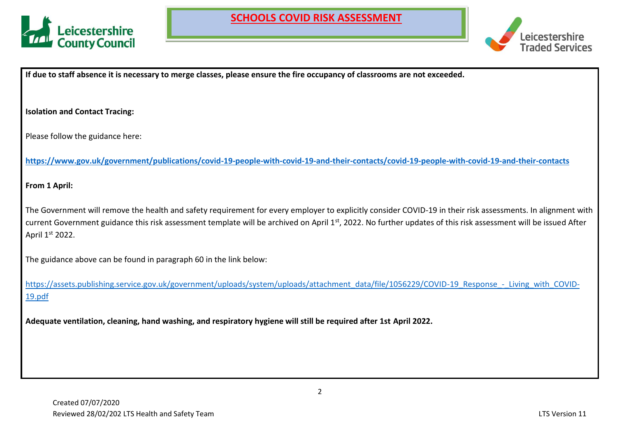



**If due to staff absence it is necessary to merge classes, please ensure the fire occupancy of classrooms are not exceeded.**

**Isolation and Contact Tracing:**

Please follow the guidance here:

**<https://www.gov.uk/government/publications/covid-19-people-with-covid-19-and-their-contacts/covid-19-people-with-covid-19-and-their-contacts>**

**From 1 April:**

The Government will remove the health and safety requirement for every employer to explicitly consider COVID-19 in their risk assessments. In alignment with current Government guidance this risk assessment template will be archived on April 1<sup>st</sup>, 2022. No further updates of this risk assessment will be issued After April 1st 2022.

The guidance above can be found in paragraph 60 in the link below:

[https://assets.publishing.service.gov.uk/government/uploads/system/uploads/attachment\\_data/file/1056229/COVID-19\\_Response\\_-\\_Living\\_with\\_COVID-](https://assets.publishing.service.gov.uk/government/uploads/system/uploads/attachment_data/file/1056229/COVID-19_Response_-_Living_with_COVID-19.pdf)[19.pdf](https://assets.publishing.service.gov.uk/government/uploads/system/uploads/attachment_data/file/1056229/COVID-19_Response_-_Living_with_COVID-19.pdf)

**Adequate ventilation, cleaning, hand washing, and respiratory hygiene will still be required after 1st April 2022.**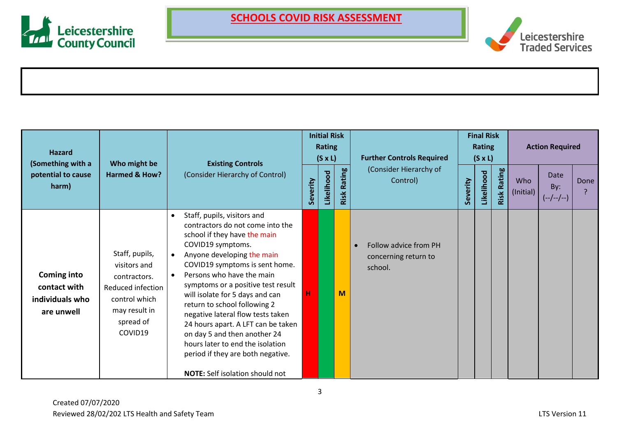



| <b>Hazard</b><br>(Something with a                                  | Who might be                                                                                                                  |                                                                                                                                                                                                                                                                                                                                                                                                                                                                                                                                                                       | <b>Initial Risk</b><br><b>Rating</b><br>$(S \times L)$<br><b>Existing Controls</b> |            |                | <b>Further Controls Required</b>                                      | <b>Final Risk</b><br><b>Rating</b><br>$(S \times L)$ |            |                | <b>Action Required</b> |                            |      |
|---------------------------------------------------------------------|-------------------------------------------------------------------------------------------------------------------------------|-----------------------------------------------------------------------------------------------------------------------------------------------------------------------------------------------------------------------------------------------------------------------------------------------------------------------------------------------------------------------------------------------------------------------------------------------------------------------------------------------------------------------------------------------------------------------|------------------------------------------------------------------------------------|------------|----------------|-----------------------------------------------------------------------|------------------------------------------------------|------------|----------------|------------------------|----------------------------|------|
| potential to cause<br>harm)                                         | <b>Harmed &amp; How?</b>                                                                                                      | (Consider Hierarchy of Control)                                                                                                                                                                                                                                                                                                                                                                                                                                                                                                                                       | Severity                                                                           | Likelihood | Rating<br>Risk | (Consider Hierarchy of<br>Control)                                    | Severity                                             | Likelihood | Rating<br>Risk | Who<br>(Initial)       | Date<br>By:<br>$(-/-/-/-)$ | Done |
| <b>Coming into</b><br>contact with<br>individuals who<br>are unwell | Staff, pupils,<br>visitors and<br>contractors.<br>Reduced infection<br>control which<br>may result in<br>spread of<br>COVID19 | Staff, pupils, visitors and<br>$\bullet$<br>contractors do not come into the<br>school if they have the main<br>COVID19 symptoms.<br>Anyone developing the main<br>COVID19 symptoms is sent home.<br>Persons who have the main<br>symptoms or a positive test result<br>will isolate for 5 days and can<br>return to school following 2<br>negative lateral flow tests taken<br>24 hours apart. A LFT can be taken<br>on day 5 and then another 24<br>hours later to end the isolation<br>period if they are both negative.<br><b>NOTE:</b> Self isolation should not | н                                                                                  |            | M              | Follow advice from PH<br>$\bullet$<br>concerning return to<br>school. |                                                      |            |                |                        |                            |      |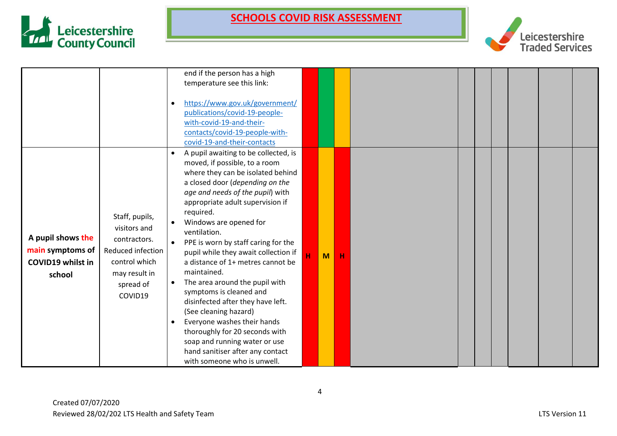



|                                                                             |                                                                                                                               | end if the person has a high<br>temperature see this link:<br>https://www.gov.uk/government/<br>publications/covid-19-people-<br>with-covid-19-and-their-<br>contacts/covid-19-people-with-<br>covid-19-and-their-contacts                                                                                                                                                                                                                                                                                                                                                                                                                                                                                      |   |   |   |  |  |  |
|-----------------------------------------------------------------------------|-------------------------------------------------------------------------------------------------------------------------------|-----------------------------------------------------------------------------------------------------------------------------------------------------------------------------------------------------------------------------------------------------------------------------------------------------------------------------------------------------------------------------------------------------------------------------------------------------------------------------------------------------------------------------------------------------------------------------------------------------------------------------------------------------------------------------------------------------------------|---|---|---|--|--|--|
| A pupil shows the<br>main symptoms of<br><b>COVID19 whilst in</b><br>school | Staff, pupils,<br>visitors and<br>contractors.<br>Reduced infection<br>control which<br>may result in<br>spread of<br>COVID19 | A pupil awaiting to be collected, is<br>moved, if possible, to a room<br>where they can be isolated behind<br>a closed door (depending on the<br>age and needs of the pupil) with<br>appropriate adult supervision if<br>required.<br>Windows are opened for<br>ventilation.<br>PPE is worn by staff caring for the<br>pupil while they await collection if<br>a distance of 1+ metres cannot be<br>maintained.<br>The area around the pupil with<br>symptoms is cleaned and<br>disinfected after they have left.<br>(See cleaning hazard)<br>Everyone washes their hands<br>thoroughly for 20 seconds with<br>soap and running water or use<br>hand sanitiser after any contact<br>with someone who is unwell. | Й | M | н |  |  |  |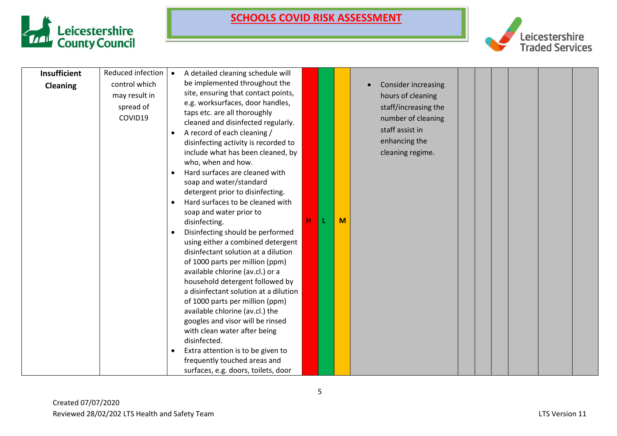



| <b>Insufficient</b> | Reduced infection   • |           | A detailed cleaning schedule will                                |   |   |                            |  |  |  |
|---------------------|-----------------------|-----------|------------------------------------------------------------------|---|---|----------------------------|--|--|--|
| <b>Cleaning</b>     | control which         |           | be implemented throughout the                                    |   |   | <b>Consider increasing</b> |  |  |  |
|                     | may result in         |           | site, ensuring that contact points,                              |   |   | hours of cleaning          |  |  |  |
|                     | spread of             |           | e.g. worksurfaces, door handles,<br>taps etc. are all thoroughly |   |   | staff/increasing the       |  |  |  |
|                     | COVID19               |           | cleaned and disinfected regularly.                               |   |   | number of cleaning         |  |  |  |
|                     |                       |           | A record of each cleaning /                                      |   |   | staff assist in            |  |  |  |
|                     |                       |           | disinfecting activity is recorded to                             |   |   | enhancing the              |  |  |  |
|                     |                       |           | include what has been cleaned, by                                |   |   | cleaning regime.           |  |  |  |
|                     |                       |           | who, when and how.                                               |   |   |                            |  |  |  |
|                     |                       |           | Hard surfaces are cleaned with                                   |   |   |                            |  |  |  |
|                     |                       |           | soap and water/standard                                          |   |   |                            |  |  |  |
|                     |                       |           | detergent prior to disinfecting.                                 |   |   |                            |  |  |  |
|                     |                       | $\bullet$ | Hard surfaces to be cleaned with                                 |   |   |                            |  |  |  |
|                     |                       |           | soap and water prior to                                          | н | M |                            |  |  |  |
|                     |                       | $\bullet$ | disinfecting.<br>Disinfecting should be performed                |   |   |                            |  |  |  |
|                     |                       |           | using either a combined detergent                                |   |   |                            |  |  |  |
|                     |                       |           | disinfectant solution at a dilution                              |   |   |                            |  |  |  |
|                     |                       |           | of 1000 parts per million (ppm)                                  |   |   |                            |  |  |  |
|                     |                       |           | available chlorine (av.cl.) or a                                 |   |   |                            |  |  |  |
|                     |                       |           | household detergent followed by                                  |   |   |                            |  |  |  |
|                     |                       |           | a disinfectant solution at a dilution                            |   |   |                            |  |  |  |
|                     |                       |           | of 1000 parts per million (ppm)                                  |   |   |                            |  |  |  |
|                     |                       |           | available chlorine (av.cl.) the                                  |   |   |                            |  |  |  |
|                     |                       |           | googles and visor will be rinsed                                 |   |   |                            |  |  |  |
|                     |                       |           | with clean water after being<br>disinfected.                     |   |   |                            |  |  |  |
|                     |                       | $\bullet$ | Extra attention is to be given to                                |   |   |                            |  |  |  |
|                     |                       |           | frequently touched areas and                                     |   |   |                            |  |  |  |
|                     |                       |           | surfaces, e.g. doors, toilets, door                              |   |   |                            |  |  |  |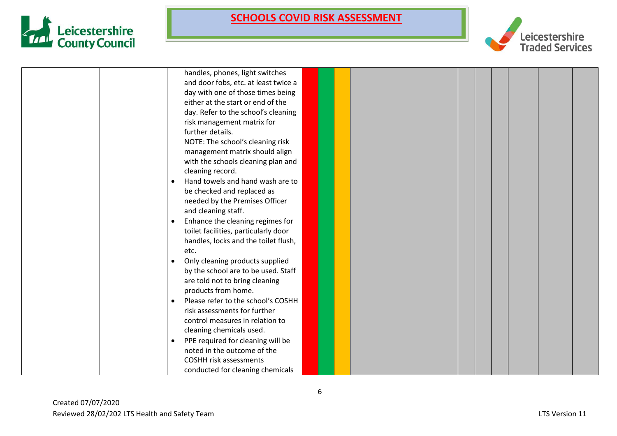



|           | handles, phones, light switches      |  |  |  |  |  |
|-----------|--------------------------------------|--|--|--|--|--|
|           | and door fobs, etc. at least twice a |  |  |  |  |  |
|           | day with one of those times being    |  |  |  |  |  |
|           | either at the start or end of the    |  |  |  |  |  |
|           | day. Refer to the school's cleaning  |  |  |  |  |  |
|           | risk management matrix for           |  |  |  |  |  |
|           | further details.                     |  |  |  |  |  |
|           | NOTE: The school's cleaning risk     |  |  |  |  |  |
|           | management matrix should align       |  |  |  |  |  |
|           | with the schools cleaning plan and   |  |  |  |  |  |
|           | cleaning record.                     |  |  |  |  |  |
| $\bullet$ | Hand towels and hand wash are to     |  |  |  |  |  |
|           | be checked and replaced as           |  |  |  |  |  |
|           | needed by the Premises Officer       |  |  |  |  |  |
|           | and cleaning staff.                  |  |  |  |  |  |
| $\bullet$ | Enhance the cleaning regimes for     |  |  |  |  |  |
|           | toilet facilities, particularly door |  |  |  |  |  |
|           | handles, locks and the toilet flush, |  |  |  |  |  |
|           | etc.                                 |  |  |  |  |  |
| $\bullet$ | Only cleaning products supplied      |  |  |  |  |  |
|           | by the school are to be used. Staff  |  |  |  |  |  |
|           | are told not to bring cleaning       |  |  |  |  |  |
|           | products from home.                  |  |  |  |  |  |
| $\bullet$ | Please refer to the school's COSHH   |  |  |  |  |  |
|           | risk assessments for further         |  |  |  |  |  |
|           | control measures in relation to      |  |  |  |  |  |
|           | cleaning chemicals used.             |  |  |  |  |  |
| $\bullet$ | PPE required for cleaning will be    |  |  |  |  |  |
|           | noted in the outcome of the          |  |  |  |  |  |
|           | <b>COSHH risk assessments</b>        |  |  |  |  |  |
|           | conducted for cleaning chemicals     |  |  |  |  |  |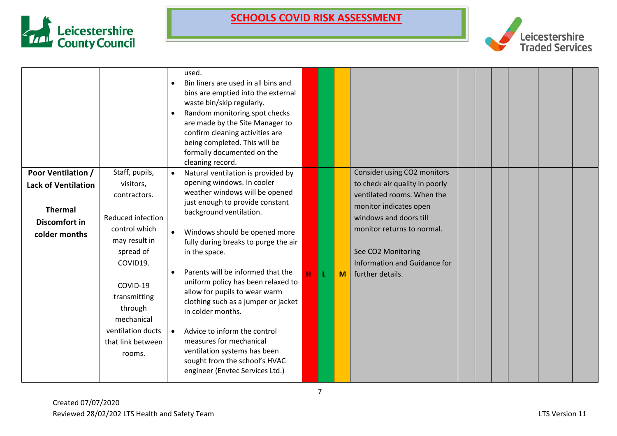



|                                                                                                             |                                                                                                                                                                                                                                      |                        | used.<br>Bin liners are used in all bins and<br>bins are emptied into the external<br>waste bin/skip regularly.<br>Random monitoring spot checks<br>are made by the Site Manager to<br>confirm cleaning activities are<br>being completed. This will be<br>formally documented on the<br>cleaning record.                                                                                                                                                                                                                                                                                         |   |    |              |                                                                                                                                                                                                                                                         |  |  |  |
|-------------------------------------------------------------------------------------------------------------|--------------------------------------------------------------------------------------------------------------------------------------------------------------------------------------------------------------------------------------|------------------------|---------------------------------------------------------------------------------------------------------------------------------------------------------------------------------------------------------------------------------------------------------------------------------------------------------------------------------------------------------------------------------------------------------------------------------------------------------------------------------------------------------------------------------------------------------------------------------------------------|---|----|--------------|---------------------------------------------------------------------------------------------------------------------------------------------------------------------------------------------------------------------------------------------------------|--|--|--|
| <b>Poor Ventilation /</b><br><b>Lack of Ventilation</b><br><b>Thermal</b><br>Discomfort in<br>colder months | Staff, pupils,<br>visitors,<br>contractors.<br>Reduced infection<br>control which<br>may result in<br>spread of<br>COVID19.<br>COVID-19<br>transmitting<br>through<br>mechanical<br>ventilation ducts<br>that link between<br>rooms. | $\bullet$<br>$\bullet$ | Natural ventilation is provided by<br>opening windows. In cooler<br>weather windows will be opened<br>just enough to provide constant<br>background ventilation.<br>Windows should be opened more<br>fully during breaks to purge the air<br>in the space.<br>Parents will be informed that the<br>uniform policy has been relaxed to<br>allow for pupils to wear warm<br>clothing such as a jumper or jacket<br>in colder months.<br>Advice to inform the control<br>measures for mechanical<br>ventilation systems has been<br>sought from the school's HVAC<br>engineer (Envtec Services Ltd.) | H | L. | $\mathbf{M}$ | Consider using CO2 monitors<br>to check air quality in poorly<br>ventilated rooms. When the<br>monitor indicates open<br>windows and doors till<br>monitor returns to normal.<br>See CO2 Monitoring<br>Information and Guidance for<br>further details. |  |  |  |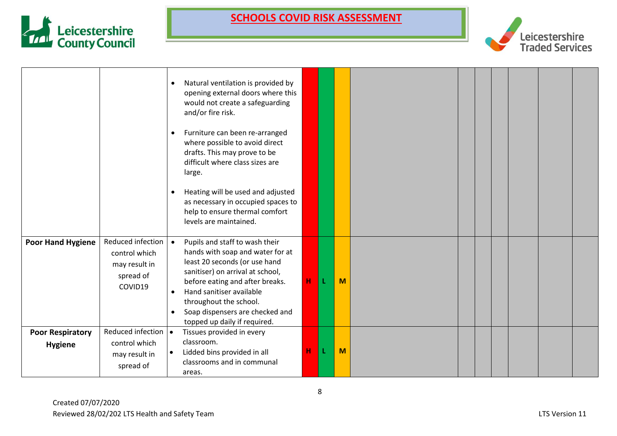



|                                           |                                                                             | Natural ventilation is provided by<br>$\bullet$<br>opening external doors where this<br>would not create a safeguarding<br>and/or fire risk.<br>Furniture can been re-arranged<br>$\bullet$<br>where possible to avoid direct<br>drafts. This may prove to be<br>difficult where class sizes are<br>large.<br>Heating will be used and adjusted<br>$\bullet$ |             |   |   |  |  |  |
|-------------------------------------------|-----------------------------------------------------------------------------|--------------------------------------------------------------------------------------------------------------------------------------------------------------------------------------------------------------------------------------------------------------------------------------------------------------------------------------------------------------|-------------|---|---|--|--|--|
|                                           |                                                                             | as necessary in occupied spaces to<br>help to ensure thermal comfort<br>levels are maintained.                                                                                                                                                                                                                                                               |             |   |   |  |  |  |
| <b>Poor Hand Hygiene</b>                  | Reduced infection<br>control which<br>may result in<br>spread of<br>COVID19 | Pupils and staff to wash their<br>$\bullet$<br>hands with soap and water for at<br>least 20 seconds (or use hand<br>sanitiser) on arrival at school,<br>before eating and after breaks.<br>Hand sanitiser available<br>$\bullet$<br>throughout the school.<br>Soap dispensers are checked and<br>$\bullet$<br>topped up daily if required.                   | $\mathbf H$ | L | M |  |  |  |
| <b>Poor Respiratory</b><br><b>Hygiene</b> | Reduced infection   •<br>control which<br>may result in<br>spread of        | Tissues provided in every<br>classroom.<br>Lidded bins provided in all<br>classrooms and in communal<br>areas.                                                                                                                                                                                                                                               | н           | L | M |  |  |  |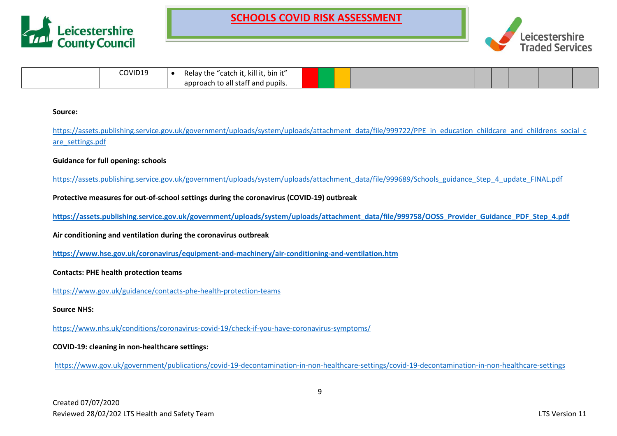



| COVID19 | , kill it, bin it"<br>Re'<br>--<br>cne<br>.aw.       |  |  |  |  |  |
|---------|------------------------------------------------------|--|--|--|--|--|
|         | n n<br>'t and pupils.<br>) all staff<br>oacn ·<br>av |  |  |  |  |  |

#### **Source:**

[https://assets.publishing.service.gov.uk/government/uploads/system/uploads/attachment\\_data/file/999722/PPE\\_in\\_education\\_childcare\\_and\\_childrens\\_social\\_c](https://assets.publishing.service.gov.uk/government/uploads/system/uploads/attachment_data/file/999722/PPE_in_education_childcare_and_childrens_social_care_settings.pdf) [are\\_settings.pdf](https://assets.publishing.service.gov.uk/government/uploads/system/uploads/attachment_data/file/999722/PPE_in_education_childcare_and_childrens_social_care_settings.pdf)

### **Guidance for full opening: schools**

[https://assets.publishing.service.gov.uk/government/uploads/system/uploads/attachment\\_data/file/999689/Schools\\_guidance\\_Step\\_4\\_update\\_FINAL.pdf](https://assets.publishing.service.gov.uk/government/uploads/system/uploads/attachment_data/file/999689/Schools_guidance_Step_4_update_FINAL.pdf)

### **Protective measures for out-of-school settings during the coronavirus (COVID-19) outbreak**

**[https://assets.publishing.service.gov.uk/government/uploads/system/uploads/attachment\\_data/file/999758/OOSS\\_Provider\\_Guidance\\_PDF\\_Step\\_4.pdf](https://assets.publishing.service.gov.uk/government/uploads/system/uploads/attachment_data/file/999758/OOSS_Provider_Guidance_PDF_Step_4.pdf)**

**Air conditioning and ventilation during the coronavirus outbreak**

**<https://www.hse.gov.uk/coronavirus/equipment-and-machinery/air-conditioning-and-ventilation.htm>**

#### **Contacts: PHE health protection teams**

<https://www.gov.uk/guidance/contacts-phe-health-protection-teams>

**Source NHS:**

<https://www.nhs.uk/conditions/coronavirus-covid-19/check-if-you-have-coronavirus-symptoms/>

### **COVID-19: cleaning in non-healthcare settings:**

<https://www.gov.uk/government/publications/covid-19-decontamination-in-non-healthcare-settings/covid-19-decontamination-in-non-healthcare-settings>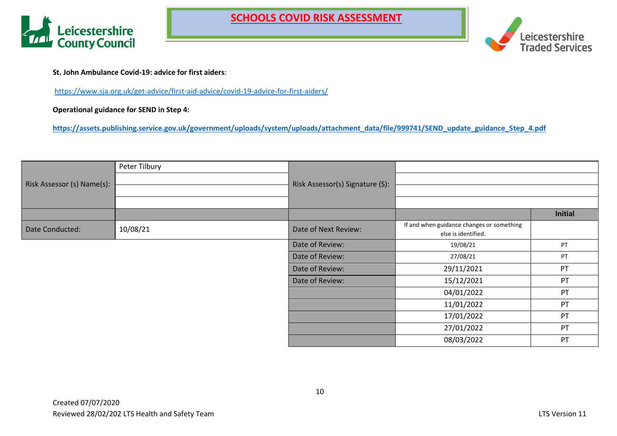



**St. John Ambulance Covid-19: advice for first aiders**:

<https://www.sja.org.uk/get-advice/first-aid-advice/covid-19-advice-for-first-aiders/>

**Operational guidance for SEND in Step 4:**

**[https://assets.publishing.service.gov.uk/government/uploads/system/uploads/attachment\\_data/file/999741/SEND\\_update\\_guidance\\_Step\\_4.pdf](https://assets.publishing.service.gov.uk/government/uploads/system/uploads/attachment_data/file/999741/SEND_update_guidance_Step_4.pdf)**

|                            | Peter Tilbury |                                 |                                                                  |                |
|----------------------------|---------------|---------------------------------|------------------------------------------------------------------|----------------|
| Risk Assessor (s) Name(s): |               | Risk Assessor(s) Signature (S): |                                                                  |                |
|                            |               |                                 |                                                                  |                |
|                            |               |                                 |                                                                  |                |
|                            |               |                                 |                                                                  | <b>Initial</b> |
| Date Conducted:            | 10/08/21      | Date of Next Review:            | If and when guidance changes or something<br>else is identified. |                |
|                            |               | Date of Review:                 | 19/08/21                                                         | PT             |
|                            |               | Date of Review:                 | 27/08/21                                                         | PT             |
|                            |               | Date of Review:                 | 29/11/2021                                                       | PT             |
|                            |               | Date of Review:                 | 15/12/2021                                                       | PT             |
|                            |               |                                 | 04/01/2022                                                       | PT             |
|                            |               |                                 | 11/01/2022                                                       | PT             |
|                            |               |                                 | 17/01/2022                                                       | PT             |
|                            |               |                                 | 27/01/2022                                                       | PT             |
|                            |               |                                 | 08/03/2022                                                       | PT             |